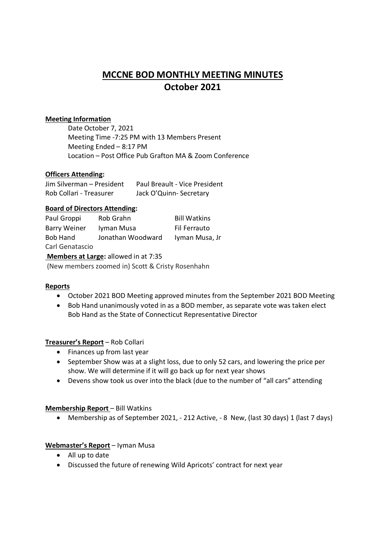# **MCCNE BOD MONTHLY MEETING MINUTES October 2021**

## **Meeting Information**

Date October 7, 2021 Meeting Time -7:25 PM with 13 Members Present Meeting Ended – 8:17 PM Location – Post Office Pub Grafton MA & Zoom Conference

## **Officers Attending:**

| Jim Silverman - President | Paul Breault - Vice President |
|---------------------------|-------------------------------|
| Rob Collari - Treasurer   | Jack O'Quinn-Secretary        |

## **Board of Directors Attending:**

| Paul Groppi         | Rob Grahn         | <b>Bill Watkins</b> |
|---------------------|-------------------|---------------------|
| <b>Barry Weiner</b> | Iyman Musa        | Fil Ferrauto        |
| Bob Hand            | Jonathan Woodward | Iyman Musa, Jr      |
| Carl Genatascio     |                   |                     |

 **Members at Large:** allowed in at 7:35 (New members zoomed in) Scott & Cristy Rosenhahn

#### **Reports**

- October 2021 BOD Meeting approved minutes from the September 2021 BOD Meeting
- Bob Hand unanimously voted in as a BOD member, as separate vote was taken elect Bob Hand as the State of Connecticut Representative Director

# **Treasurer's Report** – Rob Collari

- Finances up from last year
- September Show was at a slight loss, due to only 52 cars, and lowering the price per show. We will determine if it will go back up for next year shows
- Devens show took us over into the black (due to the number of "all cars" attending

#### **Membership Report** – Bill Watkins

Membership as of September 2021, - 212 Active, - 8 New, (last 30 days) 1 (last 7 days)

#### **Webmaster's Report** – Iyman Musa

- All up to date
- Discussed the future of renewing Wild Apricots' contract for next year